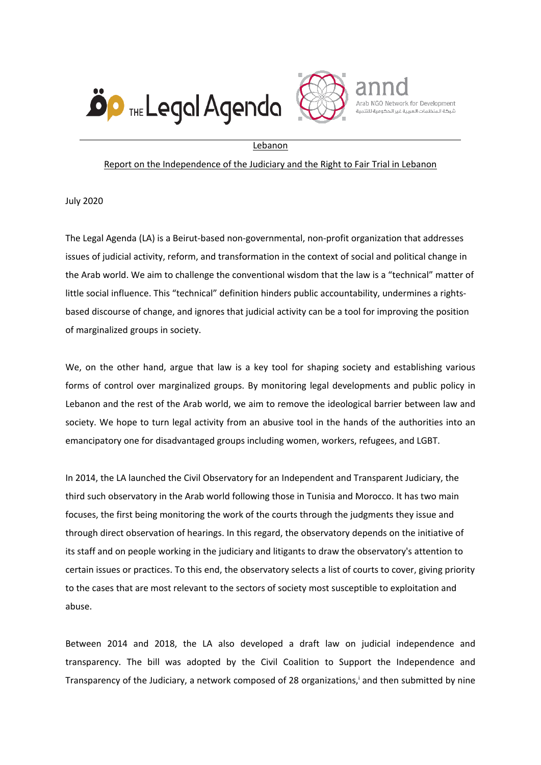



Arab NGO Network for Development شيكة المنظمات العسبة غير الحكومية للتنمر

Lebanon

## Report on the Independence of the Judiciary and the Right to Fair Trial in Lebanon

July 2020

The Legal Agenda (LA) is <sup>a</sup> Beirut-based non-governmental, non-profit organization that addresses issues of judicial activity, reform, and transformation in the context of social and political change in the Arab world. We aim to challenge the conventional wisdom that the law is <sup>a</sup> "technical" matter of little social influence. This "technical" definition hinders public accountability, undermines <sup>a</sup> rightsbased discourse of change, and ignores that judicial activity can be <sup>a</sup> tool for improving the position of marginalized groups in society.

We, on the other hand, argue that law is <sup>a</sup> key tool for shaping society and establishing various forms of control over marginalized groups. By monitoring legal developments and public policy in Lebanon and the rest of the Arab world, we aim to remove the ideological barrier between law and society. We hope to turn legal activity from an abusive tool in the hands of the authorities into an emancipatory one for disadvantaged groups including women, workers, refugees, and LGBT.

In 2014, the LA launched the Civil Observatory for an Independent and Transparent Judiciary, the third such observatory in the Arab world following those in Tunisia and Morocco. It has two main focuses, the first being monitoring the work of the courts through the judgments they issue and through direct observation of hearings. In this regard, the observatory depends on the initiative of its staff and on people working in the judiciary and litigants to draw the observatory's attention to certain issues or practices. To this end, the observatory selects <sup>a</sup> list of courts to cover, giving priority to the cases that are most relevant to the sectors of society most susceptible to exploitation and abuse.

Between 2014 and 2018, the LA also developed <sup>a</sup> draft law on judicial independence and transparency. The bill was adopted by the Civil Coalition to Support the Independence and Transparency of the Judiciary, <sup>a</sup> network composed of 28 organizations, i and then submitted by nine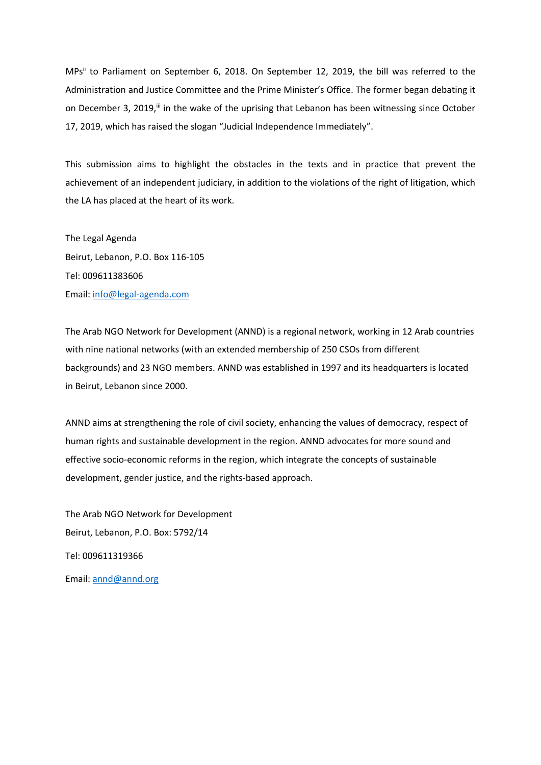MPs" to Parliament on September 6, 2018. On September 12, 2019, the bill was referred to the Administration and Justice Committee and the Prime Minister'<sup>s</sup> Office. The former began debating it on December 3, 2019," in the wake of the uprising that Lebanon has been witnessing since October 17, 2019, which has raised the slogan "Judicial Independence Immediately".

This submission aims to highlight the obstacles in the texts and in practice that prevent the achievement of an independent judiciary, in addition to the violations of the right of litigation, which the LA has placed at the heart of its work.

The Legal Agenda Beirut, Lebanon, P.O. Box 116-105 Tel: 009611383606 Email: [info@legal-agenda.com](mailto:info@legal-agenda.com)

The Arab NGO Network for Development (ANND) is <sup>a</sup> regional network, working in 12 Arab countries with nine national networks (with an extended membership of 250 CSOs from different backgrounds) and 23 NGO members. ANND was established in 1997 and its headquarters is located in Beirut, Lebanon since 2000.

ANND aims at strengthening the role of civil society, enhancing the values of democracy, respect of human rights and sustainable development in the region. ANND advocates for more sound and effective socio-economic reforms in the region, which integrate the concepts of sustainable development, gender justice, and the rights-based approach.

The Arab NGO Network for Development Beirut, Lebanon, P.O. Box: 5792/14 Tel: 009611319366 Email: [annd@annd.org](mailto:annd@annd.org)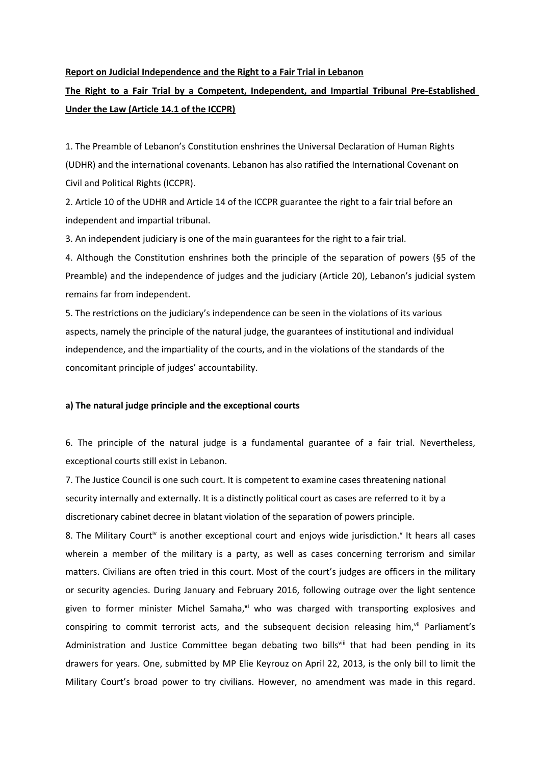#### **Report on Judicial Independence and the Right to <sup>a</sup> Fair Trial in Lebanon**

# **The Right to <sup>a</sup> Fair Trial by <sup>a</sup> Competent, Independent, and Impartial Tribunal Pre-Established Under the Law (Article 14.1 of the ICCPR)**

1. The Preamble of Lebanon'<sup>s</sup> Constitution enshrines the Universal Declaration of Human Rights (UDHR) and the international covenants. Lebanon has also ratified the International Covenant on Civil and Political Rights (ICCPR).

2. Article 10 of the UDHR and Article 14 of the ICCPR guarantee the right to <sup>a</sup> fair trial before an independent and impartial tribunal.

3. An independent judiciary is one of the main guarantees for the right to <sup>a</sup> fair trial.

4. Although the Constitution enshrines both the principle of the separation of powers (§5 of the Preamble) and the independence of judges and the judiciary (Article 20), Lebanon'<sup>s</sup> judicial system remains far from independent.

5. The restrictions on the judiciary'<sup>s</sup> independence can be seen in the violations of its various aspects, namely the principle of the natural judge, the guarantees of institutional and individual independence, and the impartiality of the courts, and in the violations of the standards of the concomitant principle of judges' accountability.

## **a) The natural judge principle and the exceptional courts**

6. The principle of the natural judge is <sup>a</sup> fundamental guarantee of <sup>a</sup> fair trial. Nevertheless, exceptional courts still exist in Lebanon.

7. The Justice Council is one such court. It is competent to examine cases threatening national security internally and externally. It is <sup>a</sup> distinctly political court as cases are referred to it by <sup>a</sup> discretionary cabinet decree in blatant violation of the separation of powers principle.

8. The Military Court<sup>iv</sup> is another exceptional court and enjoys wide jurisdiction.<sup>v</sup> It hears all cases wherein a member of the military is a party, as well as cases concerning terrorism and similar matters. Civilians are often tried in this court. Most of the court'<sup>s</sup> judges are officers in the military or security agencies. During January and February 2016, following outrage over the light sentence given to former minister Michel Samaha, **vi** who was charged with transporting explosives and conspiring to commit terrorist acts, and the subsequent decision releasing him,<sup>vii</sup> Parliament's Administration and Justice Committee began debating two bills<sup>viii</sup> that had been pending in its drawers for years. One, submitted by MP Elie Keyrouz on April 22, 2013, is the only bill to limit the Military Court'<sup>s</sup> broad power to try civilians. However, no amendment was made in this regard.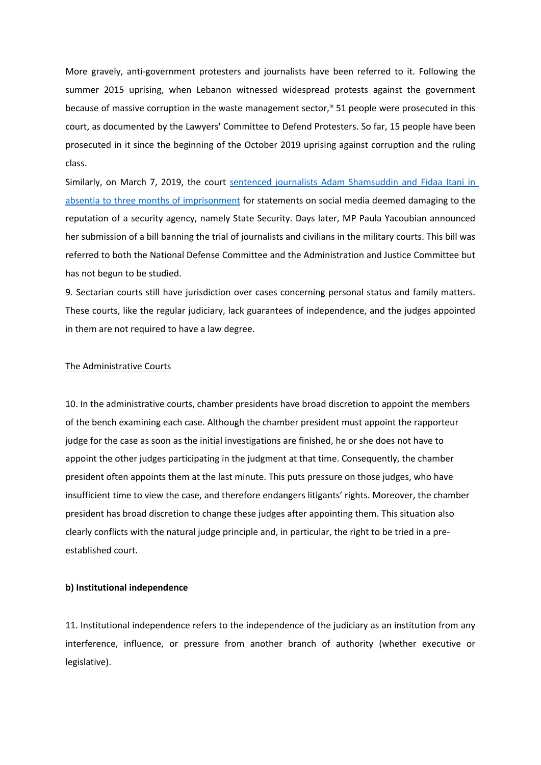More gravely, anti-government protesters and journalists have been referred to it. Following the summer 2015 uprising, when Lebanon witnessed widespread protests against the government because of massive corruption in the waste management sector,<sup>ix</sup> 51 people were prosecuted in this court, as documented by the Lawyers' Committee to Defend Protesters. So far, 15 people have been prosecuted in it since the beginning of the October 2019 uprising against corruption and the ruling class.

Similarly, on March 7, 2019, the court sentenced [journalists](http://legal-agenda.com/article.php?id=5372) Adam Shamsuddin and Fidaa Itani in absentia to three months of [imprisonment](http://legal-agenda.com/article.php?id=5372) for statements on social media deemed damaging to the reputation of <sup>a</sup> security agency, namely State Security. Days later, MP Paula Yacoubian announced her submission of <sup>a</sup> bill banning the trial of journalists and civilians in the military courts. This bill was referred to both the National Defense Committee and the Administration and Justice Committee but has not begun to be studied.

9. Sectarian courts still have jurisdiction over cases concerning personal status and family matters. These courts, like the regular judiciary, lack guarantees of independence, and the judges appointed in them are not required to have <sup>a</sup> law degree.

#### The Administrative Courts

10. In the administrative courts, chamber presidents have broad discretion to appoint the members of the bench examining each case. Although the chamber president must appoint the rapporteur judge for the case as soon as the initial investigations are finished, he or she does not have to appoint the other judges participating in the judgment at that time. Consequently, the chamber president often appoints them at the last minute. This puts pressure on those judges, who have insufficient time to view the case, and therefore endangers litigants' rights. Moreover, the chamber president has broad discretion to change these judges after appointing them. This situation also clearly conflicts with the natural judge principle and, in particular, the right to be tried in <sup>a</sup> preestablished court.

## **b) Institutional independence**

11. Institutional independence refers to the independence of the judiciary as an institution from any interference, influence, or pressure from another branch of authority (whether executive or legislative).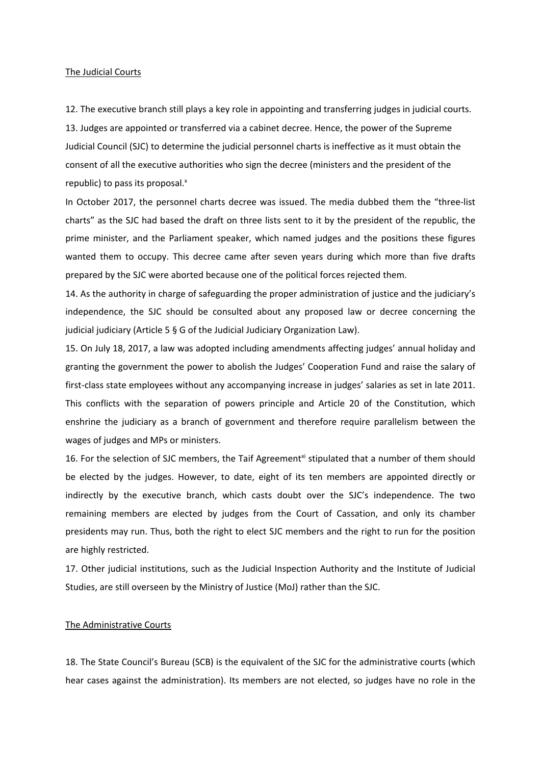#### The Judicial Courts

12. The executive branch still plays <sup>a</sup> key role in appointing and transferring judges in judicial courts.

13. Judges are appointed or transferred via <sup>a</sup> cabinet decree. Hence, the power of the Supreme Judicial Council (SJC) to determine the judicial personnel charts is ineffective as it must obtain the consent of all the executive authorities who sign the decree (ministers and the president of the republic) to pass its proposal. x

In October 2017, the personnel charts decree was issued. The media dubbed them the "three-list charts" as the SJC had based the draft on three lists sent to it by the president of the republic, the prime minister, and the Parliament speaker, which named judges and the positions these figures wanted them to occupy. This decree came after seven years during which more than five drafts prepared by the SJC were aborted because one of the political forces rejected them.

14. As the authority in charge of safeguarding the proper administration of justice and the judiciary'<sup>s</sup> independence, the SJC should be consulted about any proposed law or decree concerning the judicial judiciary (Article 5 § G of the Judicial Judiciary Organization Law).

15. On July 18, 2017, <sup>a</sup> law was adopted including amendments affecting judges' annual holiday and granting the government the power to abolish the Judges' Cooperation Fund and raise the salary of first-class state employees without any accompanying increase in judges' salaries as set in late 2011. This conflicts with the separation of powers principle and Article 20 of the Constitution, which enshrine the judiciary as <sup>a</sup> branch of government and therefore require parallelism between the wages of judges and MPs or ministers.

16. For the selection of SJC members, the Taif Agreement<sup>xi</sup> stipulated that a number of them should be elected by the judges. However, to date, eight of its ten members are appointed directly or indirectly by the executive branch, which casts doubt over the SJC'<sup>s</sup> independence. The two remaining members are elected by judges from the Court of Cassation, and only its chamber presidents may run. Thus, both the right to elect SJC members and the right to run for the position are highly restricted.

17. Other judicial institutions, such as the Judicial Inspection Authority and the Institute of Judicial Studies, are still overseen by the Ministry of Justice (MoJ) rather than the SJC.

## The Administrative Courts

18. The State Council'<sup>s</sup> Bureau (SCB) is the equivalent of the SJC for the administrative courts (which hear cases against the administration). Its members are not elected, so judges have no role in the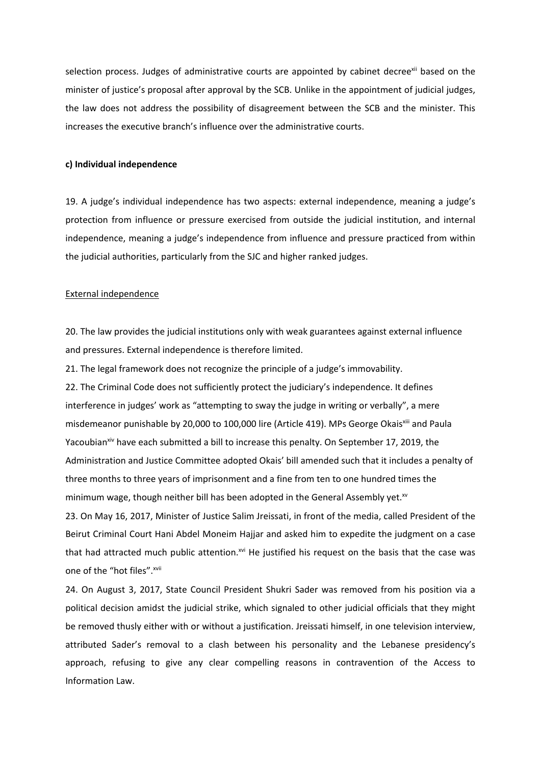selection process. Judges of administrative courts are appointed by cabinet decree<sup>xii</sup> based on the minister of justice'<sup>s</sup> proposal after approval by the SCB. Unlike in the appointment of judicial judges, the law does not address the possibility of disagreement between the SCB and the minister. This increases the executive branch'<sup>s</sup> influence over the administrative courts.

## **c) Individual independence**

19. A judge'<sup>s</sup> individual independence has two aspects: external independence, meaning <sup>a</sup> judge'<sup>s</sup> protection from influence or pressure exercised from outside the judicial institution, and internal independence, meaning <sup>a</sup> judge'<sup>s</sup> independence from influence and pressure practiced from within the judicial authorities, particularly from the SJC and higher ranked judges.

#### External independence

20. The law provides the judicial institutions only with weak guarantees against external influence and pressures. External independence is therefore limited.

21. The legal framework does not recognize the principle of <sup>a</sup> judge'<sup>s</sup> immovability. 22. The Criminal Code does not sufficiently protect the judiciary'<sup>s</sup> independence. It defines interference in judges' work as "attempting to sway the judge in writing or verbally", <sup>a</sup> mere misdemeanor punishable by 20,000 to 100,000 lire (Article 419). MPs George Okais<sup>xiii</sup> and Paula Yacoubian<sup>xiv</sup> have each submitted a bill to increase this penalty. On September 17, 2019, the Administration and Justice Committee adopted Okais' bill amended such that it includes <sup>a</sup> penalty of three months to three years of imprisonment and <sup>a</sup> fine from ten to one hundred times the minimum wage, though neither bill has been adopted in the General Assembly yet. $^{\text{sv}}$ 23. On May 16, 2017, Minister of Justice Salim Jreissati, in front of the media, called President of the Beirut Criminal Court Hani Abdel Moneim Hajjar and asked him to expedite the judgment on <sup>a</sup> case that had attracted much public attention.<sup>xvi</sup> He justified his request on the basis that the case was

one of the "hot files".<sup>xvii</sup>

24. On August 3, 2017, State Council President Shukri Sader was removed from his position via <sup>a</sup> political decision amidst the judicial strike, which signaled to other judicial officials that they might be removed thusly either with or without <sup>a</sup> justification. Jreissati himself, in one television interview, attributed Sader'<sup>s</sup> removal to <sup>a</sup> clash between his personality and the Lebanese presidency'<sup>s</sup> approach, refusing to give any clear compelling reasons in contravention of the Access to Information Law.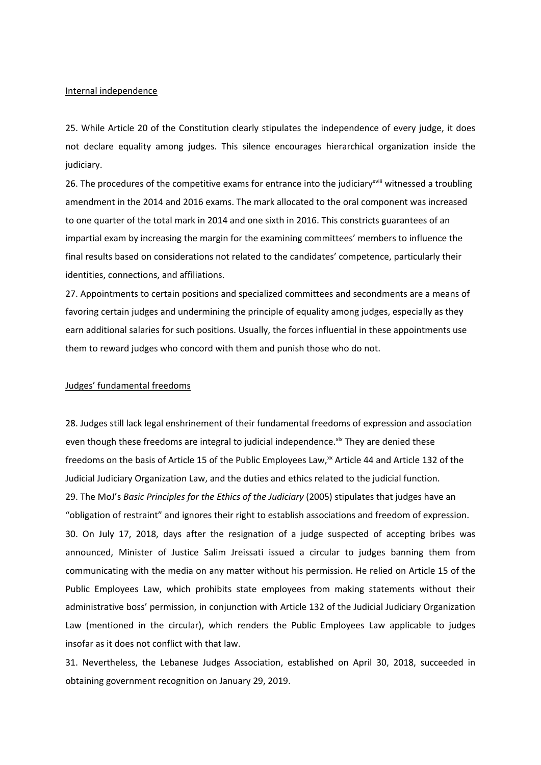#### Internal independence

25. While Article 20 of the Constitution clearly stipulates the independence of every judge, it does not declare equality among judges. This silence encourages hierarchical organization inside the judiciary.

26. The procedures of the competitive exams for entrance into the judiciary<sup>xviii</sup> witnessed a troubling amendment in the 2014 and 2016 exams. The mark allocated to the oral component was increased to one quarter of the total mark in 2014 and one sixth in 2016. This constricts guarantees of an impartial exam by increasing the margin for the examining committees' members to influence the final results based on considerations not related to the candidates' competence, particularly their identities, connections, and affiliations.

27. Appointments to certain positions and specialized committees and secondments are <sup>a</sup> means of favoring certain judges and undermining the principle of equality among judges, especially as they earn additional salaries for such positions. Usually, the forces influential in these appointments use them to reward judges who concord with them and punish those who do not.

## Judges' fundamental freedoms

28. Judges still lack legal enshrinement of their fundamental freedoms of expression and association even though these freedoms are integral to judicial independence.<sup>xix</sup> They are denied these freedoms on the basis of Article 15 of the Public Employees Law, $^{\rm{xx}}$  Article 44 and Article 132 of the Judicial Judiciary Organization Law, and the duties and ethics related to the judicial function. 29. The MoJ'<sup>s</sup> *Basic Principles for the Ethics of the Judiciary* (2005) stipulates that judges have an "obligation of restraint" and ignores their right to establish associations and freedom of expression. 30. On July 17, 2018, days after the resignation of <sup>a</sup> judge suspected of accepting bribes was announced, Minister of Justice Salim Jreissati issued <sup>a</sup> circular to judges banning them from communicating with the media on any matter without his permission. He relied on Article 15 of the Public Employees Law, which prohibits state employees from making statements without their administrative boss' permission, in conjunction with Article 132 of the Judicial Judiciary Organization Law (mentioned in the circular), which renders the Public Employees Law applicable to judges insofar as it does not conflict with that law.

31. Nevertheless, the Lebanese Judges Association, established on April 30, 2018, succeeded in obtaining government recognition on January 29, 2019.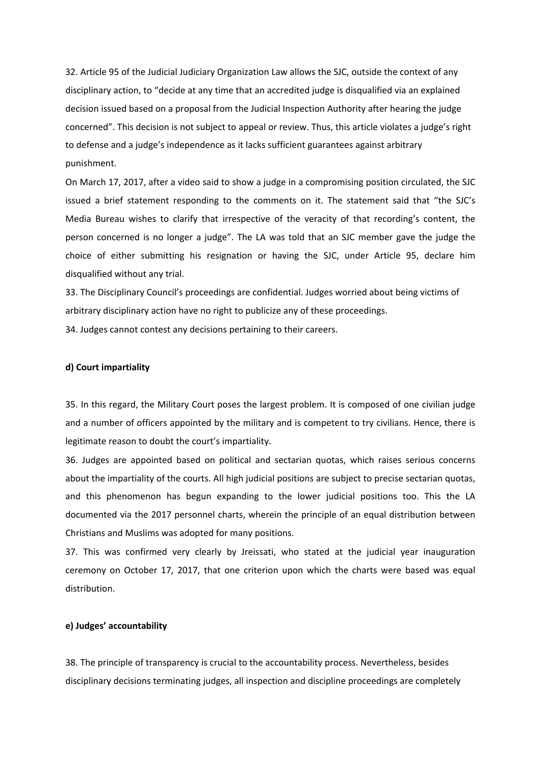32. Article 95 of the Judicial Judiciary Organization Law allows the SJC, outside the context of any disciplinary action, to "decide at any time that an accredited judge is disqualified via an explained decision issued based on <sup>a</sup> proposal from the Judicial Inspection Authority after hearing the judge concerned". This decision is not subject to appeal or review. Thus, this article violates <sup>a</sup> judge'<sup>s</sup> right to defense and <sup>a</sup> judge'<sup>s</sup> independence as it lacks sufficient guarantees against arbitrary punishment.

On March 17, 2017, after <sup>a</sup> video said to show <sup>a</sup> judge in <sup>a</sup> compromising position circulated, the SJC issued <sup>a</sup> brief statement responding to the comments on it. The statement said that "the SJC'<sup>s</sup> Media Bureau wishes to clarify that irrespective of the veracity of that recording'<sup>s</sup> content, the person concerned is no longer <sup>a</sup> judge". The LA was told that an SJC member gave the judge the choice of either submitting his resignation or having the SJC, under Article 95, declare him disqualified without any trial.

33. The Disciplinary Council'<sup>s</sup> proceedings are confidential. Judges worried about being victims of arbitrary disciplinary action have no right to publicize any of these proceedings.

34. Judges cannot contest any decisions pertaining to their careers.

## **d) Court impartiality**

35. In this regard, the Military Court poses the largest problem. It is composed of one civilian judge and <sup>a</sup> number of officers appointed by the military and is competent to try civilians. Hence, there is legitimate reason to doubt the court'<sup>s</sup> impartiality.

36. Judges are appointed based on political and sectarian quotas, which raises serious concerns about the impartiality of the courts. All high judicial positions are subject to precise sectarian quotas, and this phenomenon has begun expanding to the lower judicial positions too. This the LA documented via the 2017 personnel charts, wherein the principle of an equal distribution between Christians and Muslims was adopted for many positions.

37. This was confirmed very clearly by Jreissati, who stated at the judicial year inauguration ceremony on October 17, 2017, that one criterion upon which the charts were based was equal distribution.

## **e) Judges' accountability**

38. The principle of transparency is crucial to the accountability process. Nevertheless, besides disciplinary decisions terminating judges, all inspection and discipline proceedings are completely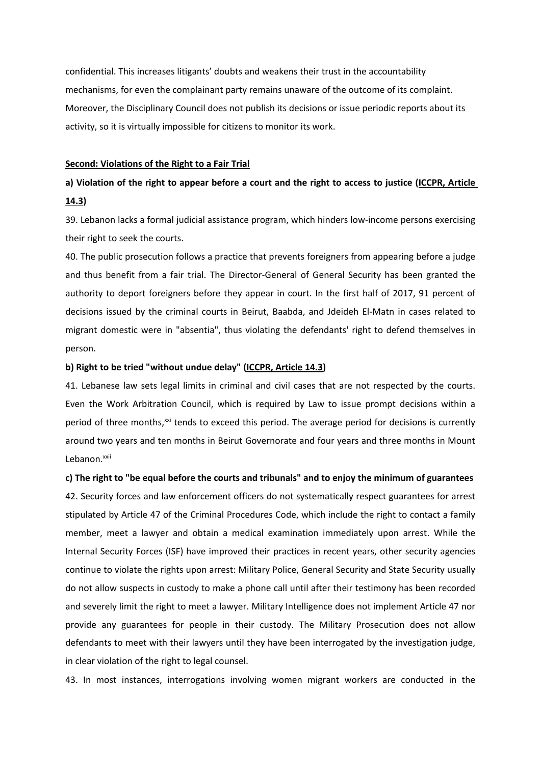confidential. This increases litigants' doubts and weakens their trust in the accountability mechanisms, for even the complainant party remains unaware of the outcome of its complaint. Moreover, the Disciplinary Council does not publish its decisions or issue periodic reports about its activity, so it is virtually impossible for citizens to monitor its work.

#### **Second: Violations of the Right to <sup>a</sup> Fair Trial**

# a) Violation of the right to appear before a court and the right to access to justice (ICCPR, Article **14.3)**

39. Lebanon lacks <sup>a</sup> formal judicial assistance program, which hinders low-income persons exercising their right to seek the courts.

40. The public prosecution follows <sup>a</sup> practice that prevents foreigners from appearing before <sup>a</sup> judge and thus benefit from <sup>a</sup> fair trial. The Director-General of General Security has been granted the authority to deport foreigners before they appear in court. In the first half of 2017, 91 percent of decisions issued by the criminal courts in Beirut, Baabda, and Jdeideh El-Matn in cases related to migrant domestic were in "absentia", thus violating the defendants' right to defend themselves in person.

## **b) Right to be tried "without undue delay" (ICCPR, Article 14.3)**

41. Lebanese law sets legal limits in criminal and civil cases that are not respected by the courts. Even the Work Arbitration Council, which is required by Law to issue prompt decisions within <sup>a</sup> period of three months,<sup>xxi</sup> tends to exceed this period. The average period for decisions is currently around two years and ten months in Beirut Governorate and four years and three months in Mount Lebanon.<sup>xxii</sup>

**c) The right to "be equal before the courts and tribunals" and to enjoy the minimum of guarantees** 42. Security forces and law enforcement officers do not systematically respect guarantees for arrest stipulated by Article 47 of the Criminal Procedures Code, which include the right to contact <sup>a</sup> family member, meet <sup>a</sup> lawyer and obtain <sup>a</sup> medical examination immediately upon arrest. While the Internal Security Forces (ISF) have improved their practices in recent years, other security agencies continue to violate the rights upon arrest: Military Police, General Security and State Security usually do not allow suspects in custody to make <sup>a</sup> phone call until after their testimony has been recorded and severely limit the right to meet <sup>a</sup> lawyer. Military Intelligence does not implement Article 47 nor provide any guarantees for people in their custody. The Military Prosecution does not allow defendants to meet with their lawyers until they have been interrogated by the investigation judge, in clear violation of the right to legal counsel.

43. In most instances, interrogations involving women migrant workers are conducted in the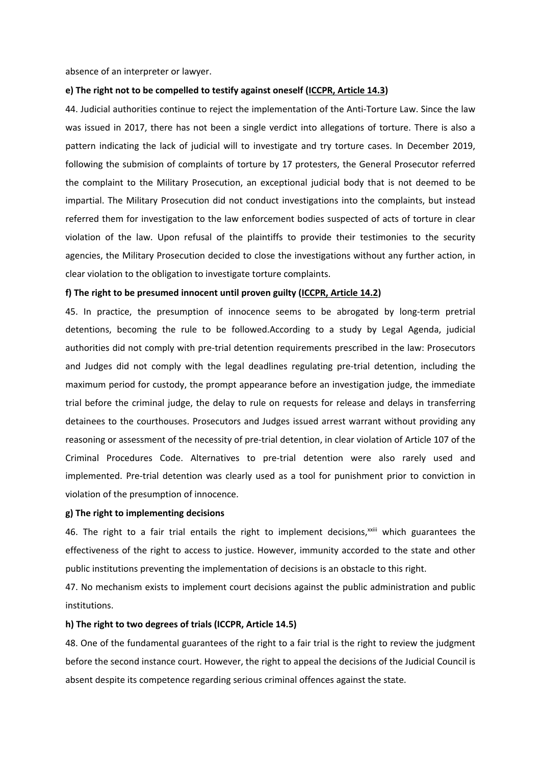absence of an interpreter or lawyer.

## **e) The right not to be compelled to testify against oneself (ICCPR, Article 14.3)**

44. Judicial authorities continue to reject the implementation of the Anti-Torture Law. Since the law was issued in 2017, there has not been <sup>a</sup> single verdict into allegations of torture. There is also <sup>a</sup> pattern indicating the lack of judicial will to investigate and try torture cases. In December 2019, following the submision of complaints of torture by 17 protesters, the General Prosecutor referred the complaint to the Military Prosecution, an exceptional judicial body that is not deemed to be impartial. The Military Prosecution did not conduct investigations into the complaints, but instead referred them for investigation to the law enforcement bodies suspected of acts of torture in clear violation of the law. Upon refusal of the plaintiffs to provide their testimonies to the security agencies, the Military Prosecution decided to close the investigations without any further action, in clear violation to the obligation to investigate torture complaints.

## **f) The right to be presumed innocent until proven guilty (ICCPR, Article 14.2)**

45. In practice, the presumption of innocence seems to be abrogated by long-term pretrial detentions, becoming the rule to be followed.According to <sup>a</sup> study by Legal Agenda, judicial authorities did not comply with pre-trial detention requirements prescribed in the law: Prosecutors and Judges did not comply with the legal deadlines regulating pre-trial detention, including the maximum period for custody, the prompt appearance before an investigation judge, the immediate trial before the criminal judge, the delay to rule on requests for release and delays in transferring detainees to the courthouses. Prosecutors and Judges issued arrest warrant without providing any reasoning or assessment of the necessity of pre-trial detention, in clear violation of Article 107 of the Criminal Procedures Code. Alternatives to pre-trial detention were also rarely used and implemented. Pre-trial detention was clearly used as <sup>a</sup> tool for punishment prior to conviction in violation of the presumption of innocence.

#### **g) The right to implementing decisions**

46. The right to a fair trial entails the right to implement decisions,<sup>xxiii</sup> which guarantees the effectiveness of the right to access to justice. However, immunity accorded to the state and other public institutions preventing the implementation of decisions is an obstacle to this right.

47. No mechanism exists to implement court decisions against the public administration and public institutions.

#### **h) The right to two degrees of trials (ICCPR, Article 14.5)**

48. One of the fundamental guarantees of the right to <sup>a</sup> fair trial is the right to review the judgment before the second instance court. However, the right to appeal the decisions of the Judicial Council is absent despite its competence regarding serious criminal offences against the state.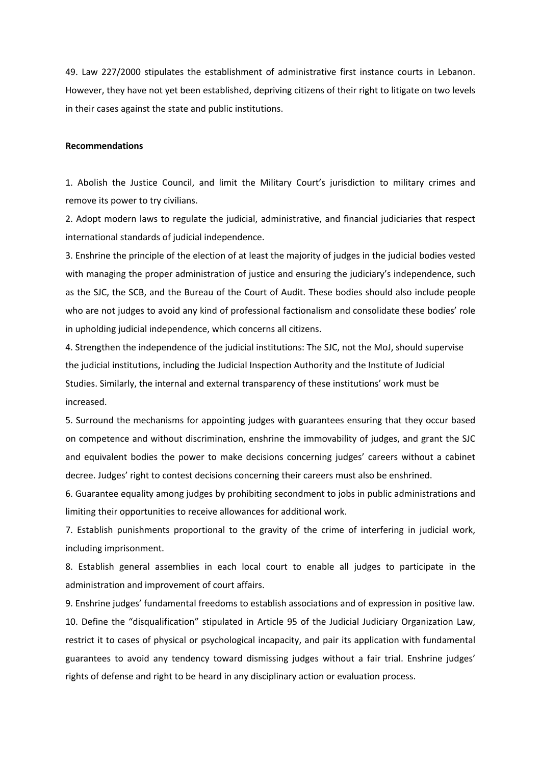49. Law 227/2000 stipulates the establishment of administrative first instance courts in Lebanon. However, they have not yet been established, depriving citizens of their right to litigate on two levels in their cases against the state and public institutions.

#### **Recommendations**

1. Abolish the Justice Council, and limit the Military Court'<sup>s</sup> jurisdiction to military crimes and remove its power to try civilians.

2. Adopt modern laws to regulate the judicial, administrative, and financial judiciaries that respect international standards of judicial independence.

3. Enshrine the principle of the election of at least the majority of judges in the judicial bodies vested with managing the proper administration of justice and ensuring the judiciary'<sup>s</sup> independence, such as the SJC, the SCB, and the Bureau of the Court of Audit. These bodies should also include people who are not judges to avoid any kind of professional factionalism and consolidate these bodies' role in upholding judicial independence, which concerns all citizens.

4. Strengthen the independence of the judicial institutions: The SJC, not the MoJ, should supervise the judicial institutions, including the Judicial Inspection Authority and the Institute of Judicial Studies. Similarly, the internal and external transparency of these institutions' work must be increased.

5. Surround the mechanisms for appointing judges with guarantees ensuring that they occur based on competence and without discrimination, enshrine the immovability of judges, and grant the SJC and equivalent bodies the power to make decisions concerning judges' careers without <sup>a</sup> cabinet decree. Judges' right to contest decisions concerning their careers must also be enshrined.

6. Guarantee equality among judges by prohibiting secondment to jobs in public administrations and limiting their opportunities to receive allowances for additional work.

7. Establish punishments proportional to the gravity of the crime of interfering in judicial work, including imprisonment.

8. Establish general assemblies in each local court to enable all judges to participate in the administration and improvement of court affairs.

9. Enshrine judges' fundamental freedoms to establish associations and of expression in positive law. 10. Define the "disqualification" stipulated in Article 95 of the Judicial Judiciary Organization Law, restrict it to cases of physical or psychological incapacity, and pair its application with fundamental guarantees to avoid any tendency toward dismissing judges without <sup>a</sup> fair trial. Enshrine judges' rights of defense and right to be heard in any disciplinary action or evaluation process.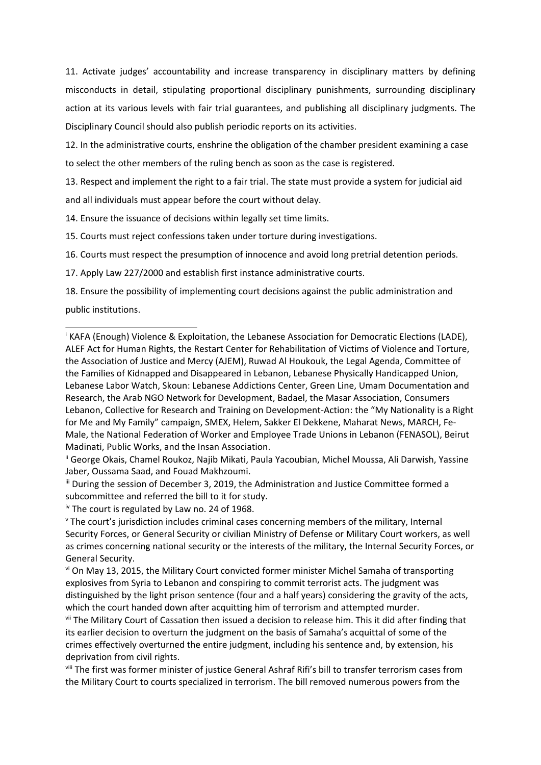11. Activate judges' accountability and increase transparency in disciplinary matters by defining misconducts in detail, stipulating proportional disciplinary punishments, surrounding disciplinary action at its various levels with fair trial guarantees, and publishing all disciplinary judgments. The Disciplinary Council should also publish periodic reports on its activities.

12. In the administrative courts, enshrine the obligation of the chamber president examining <sup>a</sup> case to select the other members of the ruling bench as soon as the case is registered.

13. Respect and implement the right to <sup>a</sup> fair trial. The state must provide <sup>a</sup> system for judicial aid and all individuals must appear before the court without delay.

14. Ensure the issuance of decisions within legally set time limits.

15. Courts must reject confessions taken under torture during investigations.

16. Courts must respect the presumption of innocence and avoid long pretrial detention periods.

17. Apply Law 227/2000 and establish first instance administrative courts.

18. Ensure the possibility of implementing court decisions against the public administration and public institutions.

**iv The court is regulated by Law no. 24 of 1968.** 

<sup>&</sup>lt;sup>i</sup> KAFA (Enough) Violence & Exploitation, the Lebanese Association for Democratic Elections (LADE), ALEF Act for Human Rights, the Restart Center for Rehabilitation of Victims of Violence and Torture, the Association of Justice and Mercy (AJEM), Ruwad Al Houkouk, the Legal Agenda, Committee of the Families of Kidnapped and Disappeared in Lebanon, Lebanese Physically Handicapped Union, Lebanese Labor Watch, Skoun: Lebanese Addictions Center, Green Line, Umam Documentation and Research, the Arab NGO Network for Development, Badael, the Masar Association, Consumers Lebanon, Collective for Research and Training on Development-Action: the "My Nationality is <sup>a</sup> Right for Me and My Family" campaign, SMEX, Helem, Sakker El Dekkene, Maharat News, MARCH, Fe-Male, the National Federation of Worker and Employee Trade Unions in Lebanon (FENASOL), Beirut Madinati, Public Works, and the Insan Association.

ii George Okais, Chamel Roukoz, Najib Mikati, Paula Yacoubian, Michel Moussa, Ali Darwish, Yassine Jaber, Oussama Saad, and Fouad Makhzoumi.

iii During the session of December 3, 2019, the Administration and Justice Committee formed <sup>a</sup> subcommittee and referred the bill to it for study.

v The court'<sup>s</sup> jurisdiction includes criminal cases concerning members of the military, Internal Security Forces, or General Security or civilian Ministry of Defense or Military Court workers, as well as crimes concerning national security or the interests of the military, the Internal Security Forces, or General Security.

<sup>&</sup>lt;sup>vi</sup> On May 13, 2015, the Military Court convicted former minister Michel Samaha of transporting explosives from Syria to Lebanon and conspiring to commit terrorist acts. The judgment was distinguished by the light prison sentence (four and <sup>a</sup> half years) considering the gravity of the acts, which the court handed down after acquitting him of terrorism and attempted murder.

<sup>&</sup>lt;sup>vii</sup> The Military Court of Cassation then issued a decision to release him. This it did after finding that its earlier decision to overturn the judgment on the basis of Samaha'<sup>s</sup> acquittal of some of the crimes effectively overturned the entire judgment, including his sentence and, by extension, his deprivation from civil rights.

<sup>&</sup>lt;sup>viii</sup> The first was former minister of justice General Ashraf Rifi's bill to transfer terrorism cases from the Military Court to courts specialized in terrorism. The bill removed numerous powers from the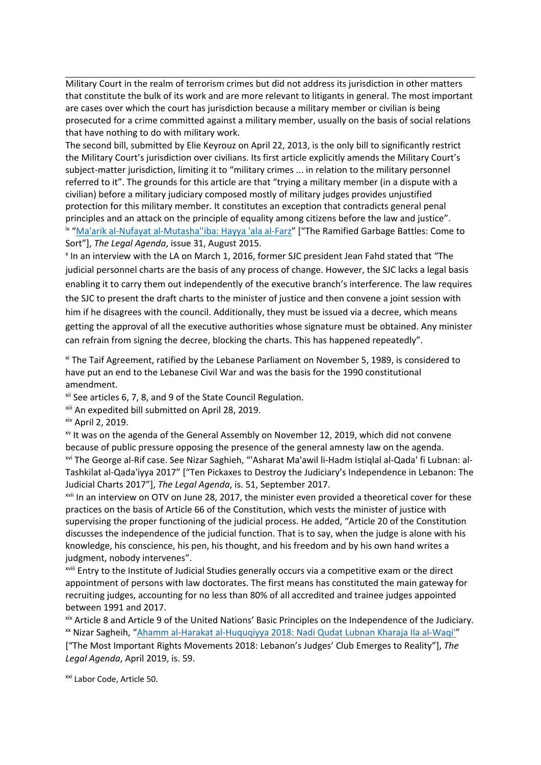Military Court in the realm of terrorism crimes but did not address its jurisdiction in other matters that constitute the bulk of its work and are more relevant to litigants in general. The most important are cases over which the court has jurisdiction because <sup>a</sup> military member or civilian is being prosecuted for <sup>a</sup> crime committed against <sup>a</sup> military member, usually on the basis of social relations that have nothing to do with military work.

The second bill, submitted by Elie Keyrouz on April 22, 2013, is the only bill to significantly restrict the Military Court'<sup>s</sup> jurisdiction over civilians. Its first article explicitly amends the Military Court'<sup>s</sup> subject-matter jurisdiction, limiting it to "military crimes ... in relation to the military personnel referred to it". The grounds for this article are that "trying <sup>a</sup> military member (in <sup>a</sup> dispute with <sup>a</sup> civilian) before <sup>a</sup> military judiciary composed mostly of military judges provides unjustified protection for this military member. It constitutes an exception that contradicts general penal principles and an attack on the principle of equality among citizens before the law and justice". <sup>ix</sup> "Ma'arik al-Nufayat al-Mutasha"iba: Hayya 'ala al-Farz" ["The Ramified Garbage Battles: Come to Sort"], *The Legal Agenda*, issue 31, August 2015.

x In an interview with the LA on March 1, 2016, former SJC president Jean Fahd stated that "The judicial personnel charts are the basis of any process of change. However, the SJC lacks <sup>a</sup> legal basis enabling it to carry them out independently of the executive branch'<sup>s</sup> interference. The law requires the SJC to present the draft charts to the minister of justice and then convene <sup>a</sup> joint session with him if he disagrees with the council. Additionally, they must be issued via <sup>a</sup> decree, which means getting the approval of all the executive authorities whose signature must be obtained. Any minister can refrain from signing the decree, blocking the charts. This has happened repeatedly".

<sup>xi</sup> The Taif Agreement, ratified by the Lebanese Parliament on November 5, 1989, is considered to have put an end to the Lebanese Civil War and was the basis for the 1990 constitutional amendment.

<sup>xii</sup> See articles 6, 7, 8, and 9 of the State Council Regulation.

xiii An expedited bill submitted on April 28, 2019.

xiv April 2, 2019.

 $^{\rm{x}}$  It was on the agenda of the General Assembly on November 12, 2019, which did not convene because of public pressure opposing the presence of the general amnesty law on the agenda. xvi The George al-Rif case. See Nizar Saghieh, "'Asharat Ma'awil li-Hadm Istiqlal al-Qada' fi Lubnan: al-Tashkilat al-Qada'iyya 2017" ["Ten Pickaxes to Destroy the Judiciary'<sup>s</sup> Independence in Lebanon: The Judicial Charts 2017"], *The Legal Agenda*, is. 51, September 2017.

<sup>xvii</sup> In an interview on OTV on June 28, 2017, the minister even provided a theoretical cover for these practices on the basis of Article 66 of the Constitution, which vests the minister of justice with supervising the proper functioning of the judicial process. He added, "Article 20 of the Constitution discusses the independence of the judicial function. That is to say, when the judge is alone with his knowledge, his conscience, his pen, his thought, and his freedom and by his own hand writes <sup>a</sup> judgment, nobody intervenes".

xviii Entry to the Institute of Judicial Studies generally occurs via <sup>a</sup> competitive exam or the direct appointment of persons with law doctorates. The first means has constituted the main gateway for recruiting judges, accounting for no less than 80% of all accredited and trainee judges appointed between 1991 and 2017.

xix Article 8 and Article 9 of the United Nations' Basic Principles on the Independence of the Judiciary. xx Nizar Sagheih, "Ahamm al-Harakat [al-Huquqiyya](https://www.legal-agenda.com/article.php?id=5550) 2018: Nadi Qudat Lubnan Kharaja Ila al-Waqi'"

["The Most Important Rights Movements 2018: Lebanon'<sup>s</sup> Judges' Club Emerges to Reality"], *The Legal Agenda*, April 2019, is. 59.

<sup>xxi</sup> Labor Code, Article 50.